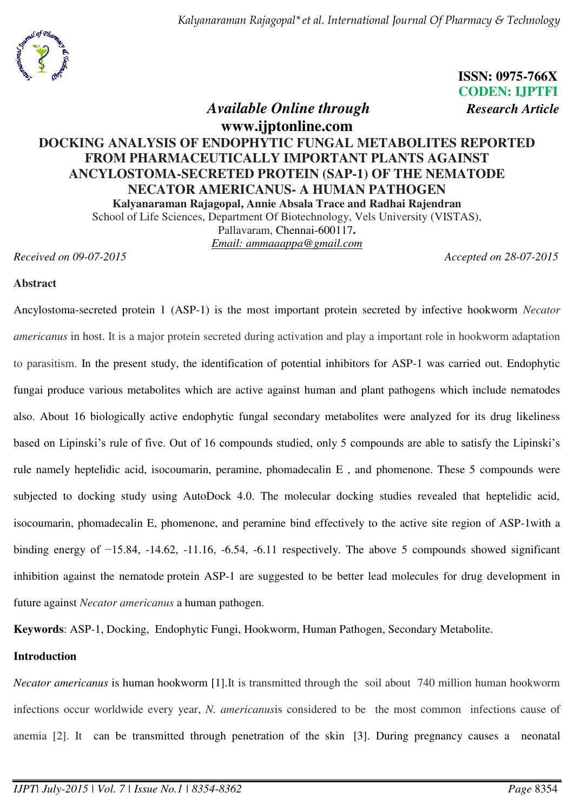

**ISSN: 0975-766X CODEN: IJPTFI**   *Available Online through Research Article*

## **www.ijptonline.com DOCKING ANALYSIS OF ENDOPHYTIC FUNGAL METABOLITES REPORTED FROM PHARMACEUTICALLY IMPORTANT PLANTS AGAINST ANCYLOSTOMA-SECRETED PROTEIN (SAP-1) OF THE NEMATODE NECATOR AMERICANUS- A HUMAN PATHOGEN Kalyanaraman Rajagopal, Annie Absala Trace and Radhai Rajendran**  School of Life Sciences, Department Of Biotechnology, Vels University (VISTAS), Pallavaram, Chennai-600117**.**  *Email: ammaaappa@gmail.com*

*Received on 09-07-2015 Accepted on 28-07-2015*

### **Abstract**

Ancylostoma-secreted protein 1 (ASP-1) is the most important protein secreted by infective hookworm *Necator americanus* in host. It is a major protein secreted during activation and play a important role in hookworm adaptation to parasitism. In the present study, the identification of potential inhibitors for ASP-1 was carried out. Endophytic fungai produce various metabolites which are active against human and plant pathogens which include nematodes also. About 16 biologically active endophytic fungal secondary metabolites were analyzed for its drug likeliness based on Lipinski's rule of five. Out of 16 compounds studied, only 5 compounds are able to satisfy the Lipinski's rule namely heptelidic acid, isocoumarin, peramine, phomadecalin E , and phomenone. These 5 compounds were subjected to docking study using AutoDock 4.0. The molecular docking studies revealed that heptelidic acid, isocoumarin, phomadecalin E, phomenone, and peramine bind effectively to the active site region of ASP-1with a binding energy of −15.84, -14.62, -11.16, -6.54, -6.11 respectively. The above 5 compounds showed significant inhibition against the [nematode](http://en.wikipedia.org/wiki/Nematode) protein ASP-1 are suggested to be better lead molecules for drug development in future against *Necator americanus* a human pathogen.

**Keywords**: ASP-1, Docking, Endophytic Fungi, Hookworm, Human Pathogen, Secondary Metabolite.

### **Introduction**

*Necator americanus* is human hookworm [1].It is transmitted through the soil about 740 million human hookworm infections occur worldwide every year, *N. americanus*is considered to be the most common infections cause of anemia [2]. It can be transmitted through penetration of the skin [3]. During pregnancy causes a neonatal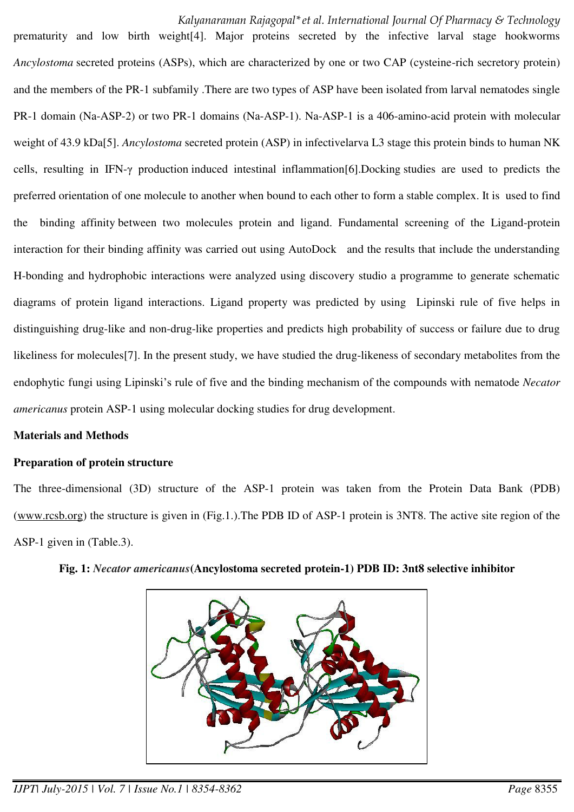prematurity and low birth weight[4]. Major proteins secreted by the infective larval stage hookworms *Ancylostoma* secreted proteins (ASPs), which are characterized by one or two CAP (cysteine-rich secretory protein) and the members of the PR-1 subfamily .There are two types of ASP have been isolated from larval nematodes single PR-1 domain (Na-ASP-2) or two PR-1 domains (Na-ASP-1). Na-ASP-1 is a 406-amino-acid protein with molecular weight of 43.9 kDa[5]. *Ancylostoma* secreted protein (ASP) in infectivelarva L3 stage this protein binds to human NK cells, resulting in IFN-γ production induced intestinal inflammation[6].Docking studies are used to predicts the preferred orientation of one molecule to another when [bound](https://en.wikipedia.org/wiki/Binding_\(molecular\)) to each other to form a stable [complex.](https://en.wikipedia.org/wiki/Supramolecular_chemistry) It is used to find the [binding affinity](https://en.wikipedia.org/wiki/Dissociation_constant#Protein-ligand_binding) between two molecules protein and ligand. Fundamental screening of the Ligand-protein interaction for their binding affinity was carried out using AutoDock and the results that include the understanding H-bonding and hydrophobic interactions were analyzed using discovery studio a programme to generate schematic diagrams of protein ligand interactions. Ligand property was predicted by using Lipinski rule of five helps in distinguishing drug-like and non-drug-like properties and predicts high probability of success or failure due to drug likeliness for molecules[7]. In the present study, we have studied the drug-likeness of secondary metabolites from the endophytic fungi using Lipinski's rule of five and the binding mechanism of the compounds with nematode *Necator americanus* protein ASP-1 using molecular docking studies for drug development.

### **Materials and Methods**

### **Preparation of protein structure**

The three-dimensional (3D) structure of the ASP-1 protein was taken from the Protein Data Bank (PDB) [\(www.rcsb.org\)](http://www.rcsb.org/) the structure is given in (Fig.1.).The PDB ID of ASP-1 protein is 3NT8. The active site region of the ASP-1 given in (Table.3).



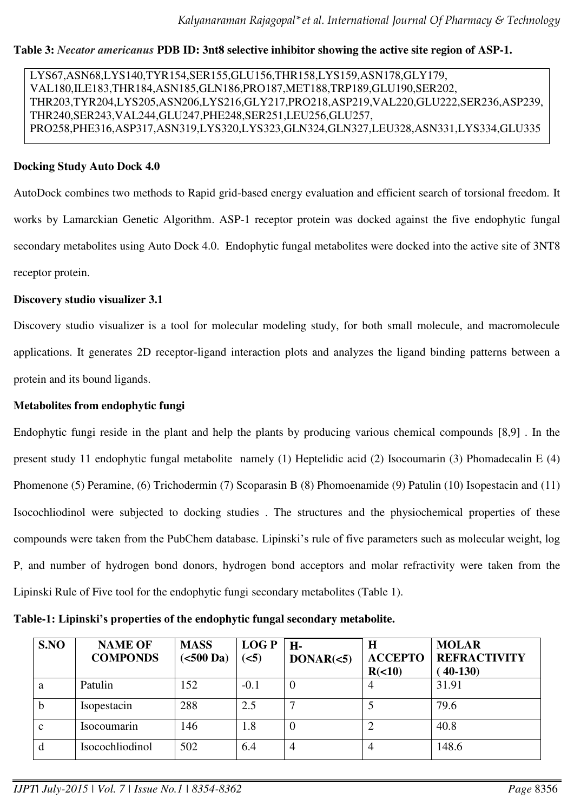### **Table 3:** *Necator americanus* **PDB ID: 3nt8 selective inhibitor showing the active site region of ASP-1.**

LYS67,ASN68,LYS140,TYR154,SER155,GLU156,THR158,LYS159,ASN178,GLY179, VAL180,ILE183,THR184,ASN185,GLN186,PRO187,MET188,TRP189,GLU190,SER202, THR203,TYR204,LYS205,ASN206,LYS216,GLY217,PRO218,ASP219,VAL220,GLU222,SER236,ASP239, THR240,SER243,VAL244,GLU247,PHE248,SER251,LEU256,GLU257, PRO258,PHE316,ASP317,ASN319,LYS320,LYS323,GLN324,GLN327,LEU328,ASN331,LYS334,GLU335

### **Docking Study Auto Dock 4.0**

AutoDock combines two methods to Rapid grid-based energy evaluation and efficient search of torsional freedom. It works by Lamarckian Genetic Algorithm. ASP-1 receptor protein was docked against the five endophytic fungal secondary metabolites using Auto Dock 4.0. Endophytic fungal metabolites were docked into the active site of 3NT8 receptor protein.

### **Discovery studio visualizer 3.1**

Discovery studio visualizer is a tool for molecular modeling study, for both small molecule, and macromolecule applications. It generates 2D receptor-ligand interaction plots and analyzes the ligand binding patterns between a protein and its bound ligands.

### **Metabolites from endophytic fungi**

Endophytic fungi reside in the plant and help the plants by producing various chemical compounds [8,9] . In the present study 11 endophytic fungal metabolite namely (1) Heptelidic acid (2) Isocoumarin (3) Phomadecalin E (4) Phomenone (5) Peramine, (6) Trichodermin (7) Scoparasin B (8) Phomoenamide (9) Patulin (10) Isopestacin and (11) Isocochliodinol were subjected to docking studies . The structures and the physiochemical properties of these compounds were taken from the PubChem database. Lipinski's rule of five parameters such as molecular weight, log P, and number of hydrogen bond donors, hydrogen bond acceptors and molar refractivity were taken from the Lipinski Rule of Five tool for the endophytic fungi secondary metabolites (Table 1).

**Table-1: Lipinski's properties of the endophytic fungal secondary metabolite.**

| S.NO         | <b>NAME OF</b>     | <b>MASS</b> | <b>LOGP</b> | H-        | Н              | <b>MOLAR</b>        |
|--------------|--------------------|-------------|-------------|-----------|----------------|---------------------|
|              | <b>COMPONDS</b>    | $(<500$ Da) | (<5)        | DONAR(<5) | <b>ACCEPTO</b> | <b>REFRACTIVITY</b> |
|              |                    |             |             |           | R(<10)         | $(40-130)$          |
| a            | Patulin            | 152         | $-0.1$      | $\theta$  |                | 31.91               |
| b            | Isopestacin        | 288         | 2.5         |           |                | 79.6                |
| $\mathbf{c}$ | <i>s</i> ocoumarin | 146         | 1.8         | $\theta$  |                | 40.8                |
| d            | Isocochliodinol    | 502         | 6.4         | 4         |                | 148.6               |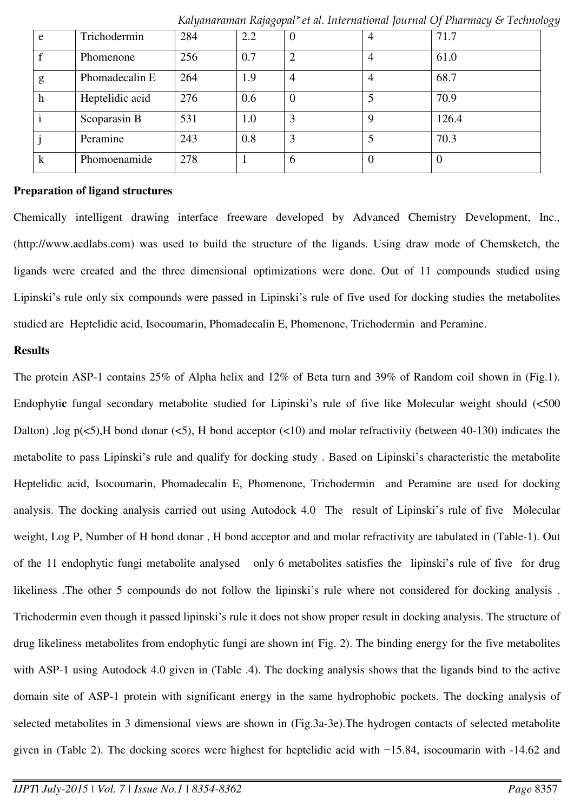|             |                 | $\cdot$ | , o , |                |                | ╯<br>$\cdot$ |
|-------------|-----------------|---------|-------|----------------|----------------|--------------|
| e           | Trichodermin    | 284     | 2.2   | v              | 4              | 71.7         |
| $f_{\rm}$   | Phomenone       | 256     | 0.7   | $\overline{2}$ | $\overline{4}$ | 61.0         |
| g           | Phomadecalin E  | 264     | 1.9   |                | 4              | 68.7         |
| $\mathbf h$ | Heptelidic acid | 276     | 0.6   |                |                | 70.9         |
|             | Scoparasin B    | 531     | 1.0   | 3              | 9              | 126.4        |
|             | Peramine        | 243     | 0.8   | 3              |                | 70.3         |
| $\bf k$     | Phomoenamide    | 278     |       | 6              | $\theta$       | 0            |

*Kalyanaraman Rajagopal\*et al. International Journal Of Pharmacy & Technology*

#### **Preparation of ligand structures**

Chemically intelligent drawing interface freeware developed by Advanced Chemistry Development, Inc., (http://www.acdlabs.com) was used to build the structure of the ligands. Using draw mode of Chemsketch, the ligands were created and the three dimensional optimizations were done. Out of 11 compounds studied using Lipinski's rule only six compounds were passed in Lipinski's rule of five used for docking studies the metabolites studied are Heptelidic acid, Isocoumarin, Phomadecalin E, Phomenone, Trichodermin and Peramine.

### **Results**

The protein ASP-1 contains 25% of Alpha helix and 12% of Beta turn and 39% of Random coil shown in (Fig.1). Endophyti**c** fungal secondary metabolite studied for Lipinski's rule of five like Molecular weight should (<500 Dalton),  $\log p(\le 5)$ , H bond donar ( $\le 5$ ), H bond acceptor ( $\le 10$ ) and molar refractivity (between 40-130) indicates the metabolite to pass Lipinski's rule and qualify for docking study . Based on Lipinski's characteristic the metabolite Heptelidic acid, Isocoumarin, Phomadecalin E, Phomenone, Trichodermin and Peramine are used for docking analysis. The docking analysis carried out using Autodock 4.0 The result of Lipinski's rule of five Molecular weight, Log P, Number of H bond donar , H bond acceptor and and molar refractivity are tabulated in (Table-1). Out of the 11 endophytic fungi metabolite analysed only 6 metabolites satisfies the lipinski's rule of five for drug likeliness .The other 5 compounds do not follow the lipinski's rule where not considered for docking analysis . Trichodermin even though it passed lipinski's rule it does not show proper result in docking analysis. The structure of drug likeliness metabolites from endophytic fungi are shown in( Fig. 2). The binding energy for the five metabolites with ASP-1 using Autodock 4.0 given in (Table .4). The docking analysis shows that the ligands bind to the active domain site of ASP-1 protein with significant energy in the same hydrophobic pockets. The docking analysis of selected metabolites in 3 dimensional views are shown in (Fig.3a-3e).The hydrogen contacts of selected metabolite given in (Table 2). The docking scores were highest for heptelidic acid with −15.84, isocoumarin with -14.62 and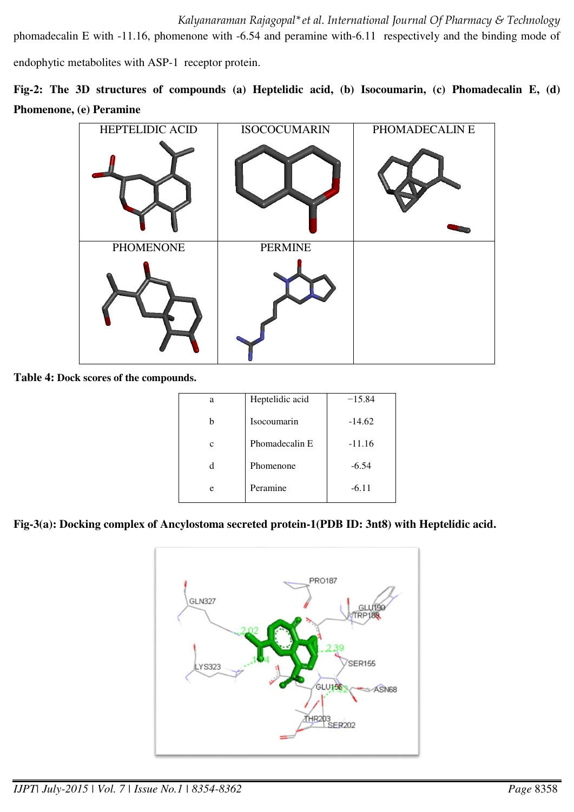phomadecalin E with -11.16, phomenone with -6.54 and peramine with-6.11 respectively and the binding mode of

endophytic metabolites with ASP-1 receptor protein.

# **Fig-2: The 3D structures of compounds (a) Heptelidic acid, (b) Isocoumarin, (c) Phomadecalin E, (d) Phomenone, (e) Peramine**



**Table 4: Dock scores of the compounds.** 

| a | Heptelidic acid | $-15.84$ |
|---|-----------------|----------|
| b | Isocoumarin     | $-14.62$ |
| C | Phomadecalin E  | $-11.16$ |
| d | Phomenone       | $-6.54$  |
| e | Peramine        | $-6.11$  |

**Fig-3(a): Docking complex of Ancylostoma secreted protein-1(PDB ID: 3nt8) with Heptelidic acid.** 

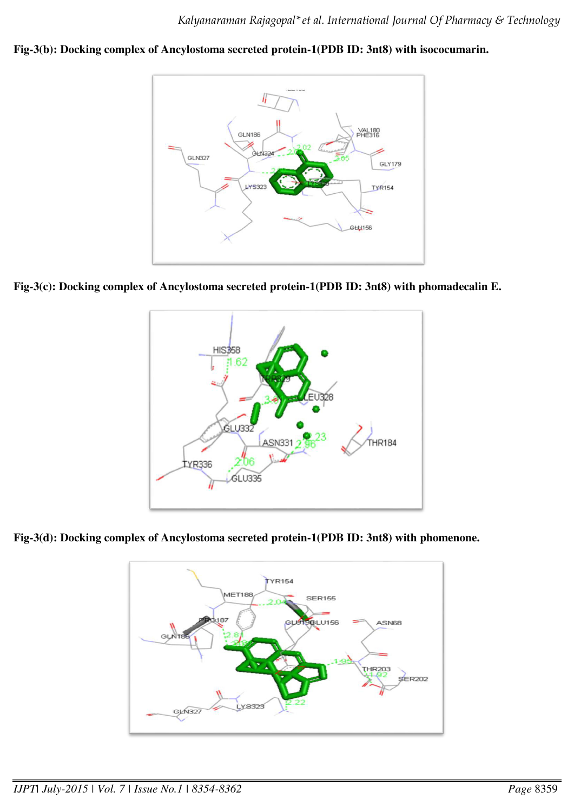**Fig-3(b): Docking complex of Ancylostoma secreted protein-1(PDB ID: 3nt8) with isococumarin.** 



**Fig-3(c): Docking complex of Ancylostoma secreted protein-1(PDB ID: 3nt8) with phomadecalin E.** 



**Fig-3(d): Docking complex of Ancylostoma secreted protein-1(PDB ID: 3nt8) with phomenone.** 

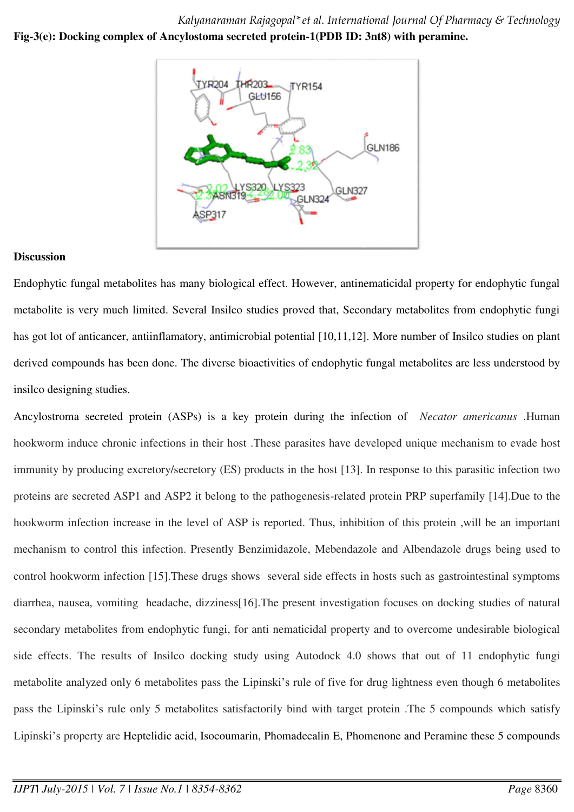### **Fig-3(e): Docking complex of Ancylostoma secreted protein-1(PDB ID: 3nt8) with peramine.**



### **Discussion**

Endophytic fungal metabolites has many biological effect. However, antinematicidal property for endophytic fungal metabolite is very much limited. Several Insilco studies proved that, Secondary metabolites from endophytic fungi has got lot of anticancer, antiinflamatory, antimicrobial potential [10,11,12]. More number of Insilco studies on plant derived compounds has been done. The diverse bioactivities of endophytic fungal metabolites are less understood by insilco designing studies.

Ancylostroma secreted protein (ASPs) is a key protein during the infection of *Necator americanus* .Human hookworm induce chronic infections in their host .These parasites have developed unique mechanism to evade host immunity by producing excretory/secretory (ES) products in the host [13]. In response to this parasitic infection two proteins are secreted ASP1 and ASP2 it belong to the pathogenesis-related protein PRP superfamily [14].Due to the hookworm infection increase in the level of ASP is reported. Thus, inhibition of this protein ,will be an important mechanism to control this infection. Presently Benzimidazole, Mebendazole and Albendazole drugs being used to control hookworm infection [15].These drugs shows several side effects in hosts such as gastrointestinal symptoms diarrhea, nausea, vomiting headache, dizziness[16].The present investigation focuses on docking studies of natural secondary metabolites from endophytic fungi, for anti nematicidal property and to overcome undesirable biological side effects. The results of Insilco docking study using Autodock 4.0 shows that out of 11 endophytic fungi metabolite analyzed only 6 metabolites pass the Lipinski's rule of five for drug lightness even though 6 metabolites pass the Lipinski's rule only 5 metabolites satisfactorily bind with target protein .The 5 compounds which satisfy Lipinski's property are Heptelidic acid, Isocoumarin, Phomadecalin E, Phomenone and Peramine these 5 compounds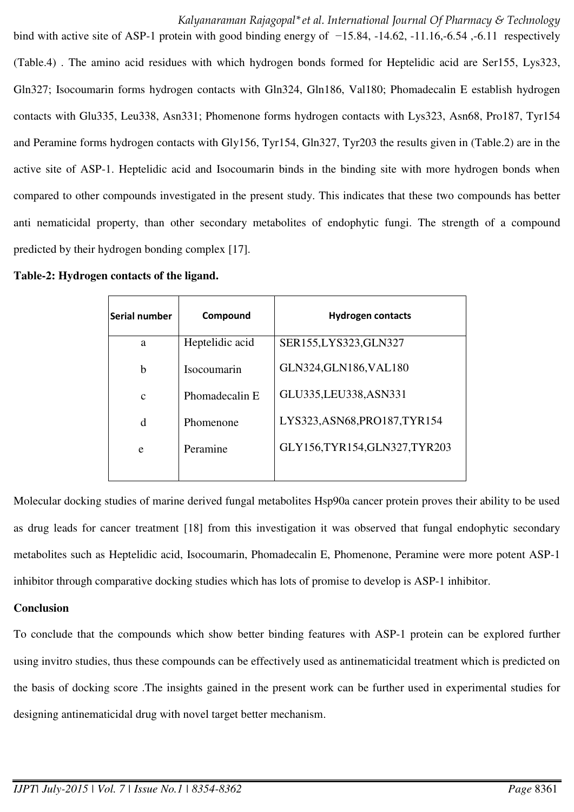bind with active site of ASP-1 protein with good binding energy of −15.84, -14.62, -11.16,-6.54 ,-6.11 respectively (Table.4) . The amino acid residues with which hydrogen bonds formed for Heptelidic acid are Ser155, Lys323, Gln327; Isocoumarin forms hydrogen contacts with Gln324, Gln186, Val180; Phomadecalin E establish hydrogen contacts with Glu335, Leu338, Asn331; Phomenone forms hydrogen contacts with Lys323, Asn68, Pro187, Tyr154 and Peramine forms hydrogen contacts with Gly156, Tyr154, Gln327, Tyr203 the results given in (Table.2) are in the active site of ASP-1. Heptelidic acid and Isocoumarin binds in the binding site with more hydrogen bonds when compared to other compounds investigated in the present study. This indicates that these two compounds has better anti nematicidal property, than other secondary metabolites of endophytic fungi. The strength of a compound predicted by their hydrogen bonding complex [17].

| Serial number | Compound           | <b>Hydrogen contacts</b>      |
|---------------|--------------------|-------------------------------|
| a             | Heptelidic acid    | SER155,LYS323,GLN327          |
| h             | <b>Isocoumarin</b> | GLN324, GLN186, VAL180        |
| $\mathbf{c}$  | Phomadecalin E     | GLU335, LEU338, ASN331        |
| d             | Phomenone          | LYS323, ASN68, PRO187, TYR154 |
| e             | Peramine           | GLY156,TYR154,GLN327,TYR203   |
|               |                    |                               |

Molecular docking studies of marine derived fungal metabolites Hsp90a cancer protein proves their ability to be used as drug leads for cancer treatment [18] from this investigation it was observed that fungal endophytic secondary metabolites such as Heptelidic acid, Isocoumarin, Phomadecalin E, Phomenone, Peramine were more potent ASP-1 inhibitor through comparative docking studies which has lots of promise to develop is ASP-1 inhibitor.

### **Conclusion**

To conclude that the compounds which show better binding features with ASP-1 protein can be explored further using invitro studies, thus these compounds can be effectively used as antinematicidal treatment which is predicted on the basis of docking score .The insights gained in the present work can be further used in experimental studies for designing antinematicidal drug with novel target better mechanism.